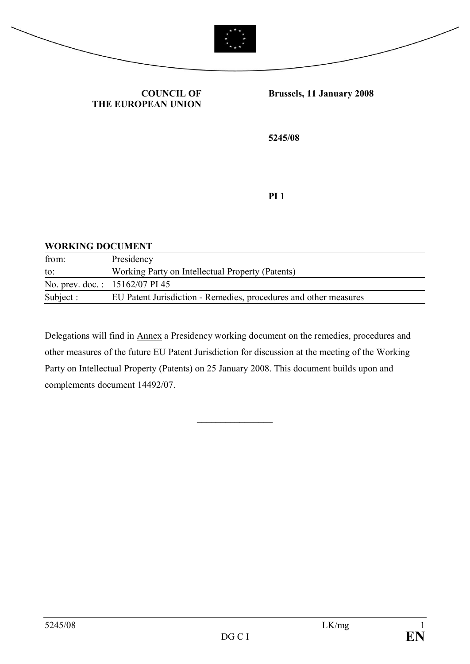



#### **COUNCIL OF THE EUROPEAN UNION**

#### **Brussels, 11 January 2008**

**5245/08**

**PI 1**

#### **WORKING DOCUMENT**

| from:     | Presidency                                                       |
|-----------|------------------------------------------------------------------|
| to:       | Working Party on Intellectual Property (Patents)                 |
|           | No. prev. doc.: 15162/07 PI 45                                   |
| Subject : | EU Patent Jurisdiction - Remedies, procedures and other measures |

Delegations will find in Annex a Presidency working document on the remedies, procedures and other measures of the future EU Patent Jurisdiction for discussion at the meeting of the Working Party on Intellectual Property (Patents) on 25 January 2008. This document builds upon and complements document 14492/07.

 $\frac{1}{2}$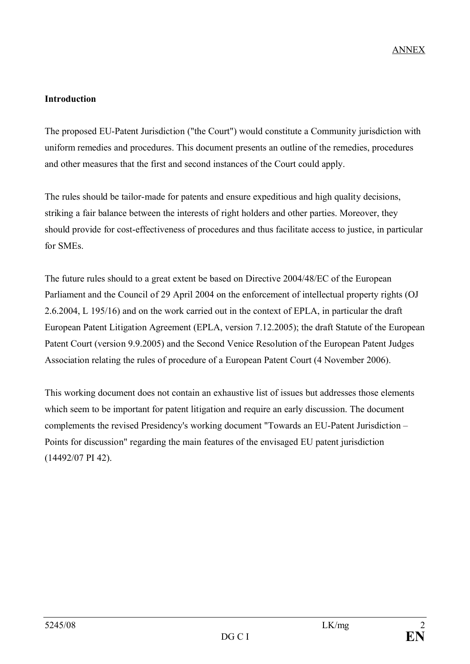# **Introduction**

The proposed EU-Patent Jurisdiction ("the Court") would constitute a Community jurisdiction with uniform remedies and procedures. This document presents an outline of the remedies, procedures and other measures that the first and second instances of the Court could apply.

The rules should be tailor-made for patents and ensure expeditious and high quality decisions, striking a fair balance between the interests of right holders and other parties. Moreover, they should provide for cost-effectiveness of procedures and thus facilitate access to justice, in particular for SMEs.

The future rules should to a great extent be based on Directive 2004/48/EC of the European Parliament and the Council of 29 April 2004 on the enforcement of intellectual property rights (OJ 2.6.2004, L 195/16) and on the work carried out in the context of EPLA, in particular the draft European Patent Litigation Agreement (EPLA, version 7.12.2005); the draft Statute of the European Patent Court (version 9.9.2005) and the Second Venice Resolution of the European Patent Judges Association relating the rules of procedure of a European Patent Court (4 November 2006).

This working document does not contain an exhaustive list of issues but addresses those elements which seem to be important for patent litigation and require an early discussion. The document complements the revised Presidency's working document "Towards an EU-Patent Jurisdiction – Points for discussion" regarding the main features of the envisaged EU patent jurisdiction (14492/07 PI 42).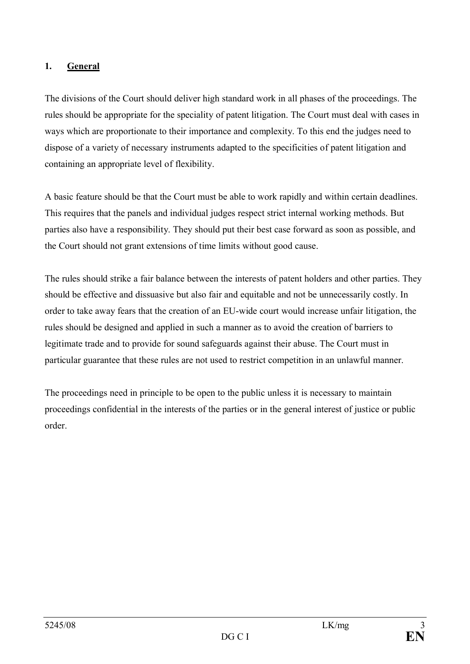# **1. General**

The divisions of the Court should deliver high standard work in all phases of the proceedings. The rules should be appropriate for the speciality of patent litigation. The Court must deal with cases in ways which are proportionate to their importance and complexity. To this end the judges need to dispose of a variety of necessary instruments adapted to the specificities of patent litigation and containing an appropriate level of flexibility.

A basic feature should be that the Court must be able to work rapidly and within certain deadlines. This requires that the panels and individual judges respect strict internal working methods. But parties also have a responsibility. They should put their best case forward as soon as possible, and the Court should not grant extensions of time limits without good cause.

The rules should strike a fair balance between the interests of patent holders and other parties. They should be effective and dissuasive but also fair and equitable and not be unnecessarily costly. In order to take away fears that the creation of an EU-wide court would increase unfair litigation, the rules should be designed and applied in such a manner as to avoid the creation of barriers to legitimate trade and to provide for sound safeguards against their abuse. The Court must in particular guarantee that these rules are not used to restrict competition in an unlawful manner.

The proceedings need in principle to be open to the public unless it is necessary to maintain proceedings confidential in the interests of the parties or in the general interest of justice or public order.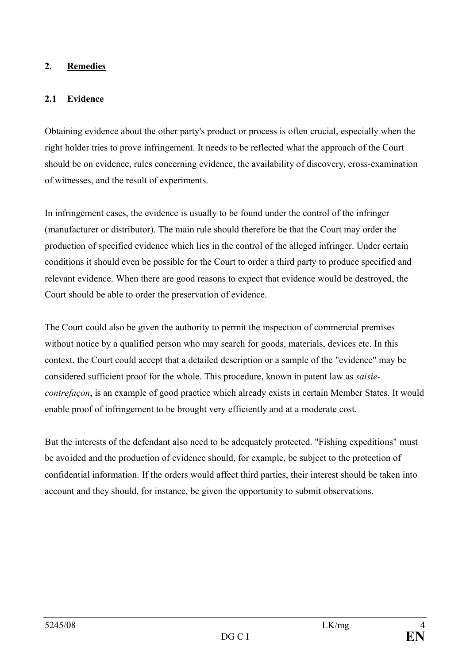### **2. Remedies**

# **2.1 Evidence**

Obtaining evidence about the other party's product or process is often crucial, especially when the right holder tries to prove infringement. It needs to be reflected what the approach of the Court should be on evidence, rules concerning evidence, the availability of discovery, cross-examination of witnesses, and the result of experiments.

In infringement cases, the evidence is usually to be found under the control of the infringer (manufacturer or distributor). The main rule should therefore be that the Court may order the production of specified evidence which lies in the control of the alleged infringer. Under certain conditions it should even be possible for the Court to order a third party to produce specified and relevant evidence. When there are good reasons to expect that evidence would be destroyed, the Court should be able to order the preservation of evidence.

The Court could also be given the authority to permit the inspection of commercial premises without notice by a qualified person who may search for goods, materials, devices etc. In this context, the Court could accept that a detailed description or a sample of the "evidence" may be considered sufficient proof for the whole. This procedure, known in patent law as *saisiecontrefaçon*, is an example of good practice which already exists in certain Member States. It would enable proof of infringement to be brought very efficiently and at a moderate cost.

But the interests of the defendant also need to be adequately protected. "Fishing expeditions" must be avoided and the production of evidence should, for example, be subject to the protection of confidential information. If the orders would affect third parties, their interest should be taken into account and they should, for instance, be given the opportunity to submit observations.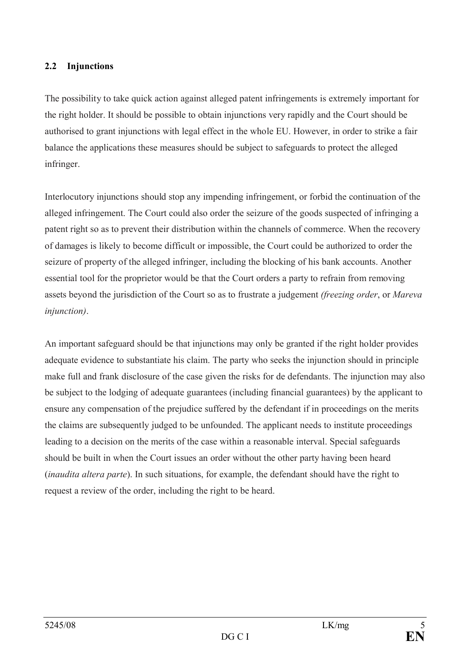#### **2.2 Injunctions**

The possibility to take quick action against alleged patent infringements is extremely important for the right holder. It should be possible to obtain injunctions very rapidly and the Court should be authorised to grant injunctions with legal effect in the whole EU. However, in order to strike a fair balance the applications these measures should be subject to safeguards to protect the alleged infringer.

Interlocutory injunctions should stop any impending infringement, or forbid the continuation of the alleged infringement. The Court could also order the seizure of the goods suspected of infringing a patent right so as to prevent their distribution within the channels of commerce. When the recovery of damages is likely to become difficult or impossible, the Court could be authorized to order the seizure of property of the alleged infringer, including the blocking of his bank accounts. Another essential tool for the proprietor would be that the Court orders a party to refrain from removing assets beyond the jurisdiction of the Court so as to frustrate a judgement *(freezing order*, or *Mareva injunction)*.

An important safeguard should be that injunctions may only be granted if the right holder provides adequate evidence to substantiate his claim. The party who seeks the injunction should in principle make full and frank disclosure of the case given the risks for de defendants. The injunction may also be subject to the lodging of adequate guarantees (including financial guarantees) by the applicant to ensure any compensation of the prejudice suffered by the defendant if in proceedings on the merits the claims are subsequently judged to be unfounded. The applicant needs to institute proceedings leading to a decision on the merits of the case within a reasonable interval. Special safeguards should be built in when the Court issues an order without the other party having been heard (*inaudita altera parte*). In such situations, for example, the defendant should have the right to request a review of the order, including the right to be heard.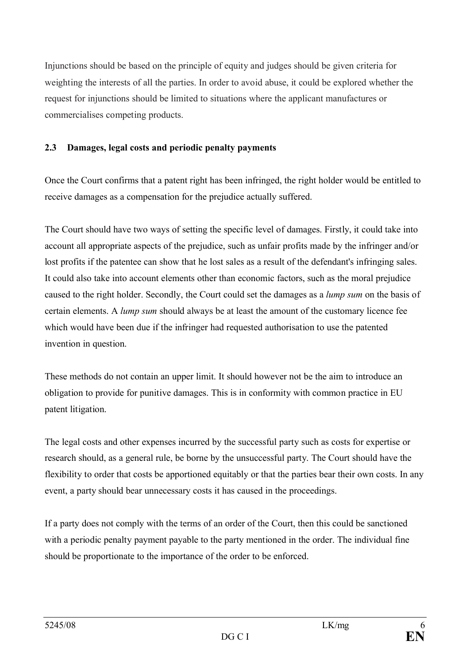Injunctions should be based on the principle of equity and judges should be given criteria for weighting the interests of all the parties. In order to avoid abuse, it could be explored whether the request for injunctions should be limited to situations where the applicant manufactures or commercialises competing products.

## **2.3 Damages, legal costs and periodic penalty payments**

Once the Court confirms that a patent right has been infringed, the right holder would be entitled to receive damages as a compensation for the prejudice actually suffered.

The Court should have two ways of setting the specific level of damages. Firstly, it could take into account all appropriate aspects of the prejudice, such as unfair profits made by the infringer and/or lost profits if the patentee can show that he lost sales as a result of the defendant's infringing sales. It could also take into account elements other than economic factors, such as the moral prejudice caused to the right holder. Secondly, the Court could set the damages as a *lump sum* on the basis of certain elements. A *lump sum* should always be at least the amount of the customary licence fee which would have been due if the infringer had requested authorisation to use the patented invention in question.

These methods do not contain an upper limit. It should however not be the aim to introduce an obligation to provide for punitive damages. This is in conformity with common practice in EU patent litigation.

The legal costs and other expenses incurred by the successful party such as costs for expertise or research should, as a general rule, be borne by the unsuccessful party. The Court should have the flexibility to order that costs be apportioned equitably or that the parties bear their own costs. In any event, a party should bear unnecessary costs it has caused in the proceedings.

If a party does not comply with the terms of an order of the Court, then this could be sanctioned with a periodic penalty payment payable to the party mentioned in the order. The individual fine should be proportionate to the importance of the order to be enforced.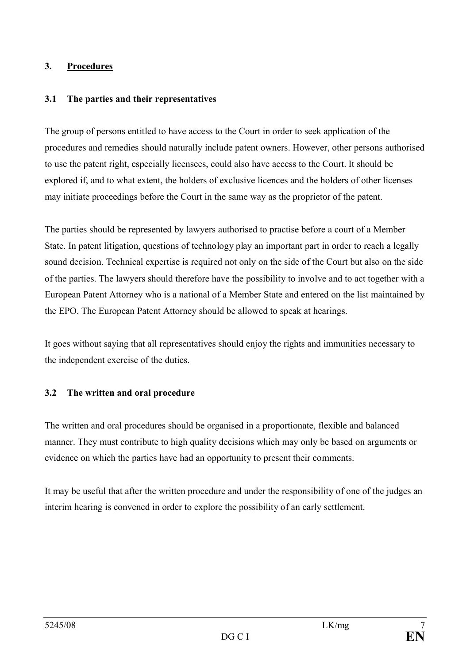#### **3. Procedures**

### **3.1 The parties and their representatives**

The group of persons entitled to have access to the Court in order to seek application of the procedures and remedies should naturally include patent owners. However, other persons authorised to use the patent right, especially licensees, could also have access to the Court. It should be explored if, and to what extent, the holders of exclusive licences and the holders of other licenses may initiate proceedings before the Court in the same way as the proprietor of the patent.

The parties should be represented by lawyers authorised to practise before a court of a Member State. In patent litigation, questions of technology play an important part in order to reach a legally sound decision. Technical expertise is required not only on the side of the Court but also on the side of the parties. The lawyers should therefore have the possibility to involve and to act together with a European Patent Attorney who is a national of a Member State and entered on the list maintained by the EPO. The European Patent Attorney should be allowed to speak at hearings.

It goes without saying that all representatives should enjoy the rights and immunities necessary to the independent exercise of the duties.

### **3.2 The written and oral procedure**

The written and oral procedures should be organised in a proportionate, flexible and balanced manner. They must contribute to high quality decisions which may only be based on arguments or evidence on which the parties have had an opportunity to present their comments.

It may be useful that after the written procedure and under the responsibility of one of the judges an interim hearing is convened in order to explore the possibility of an early settlement.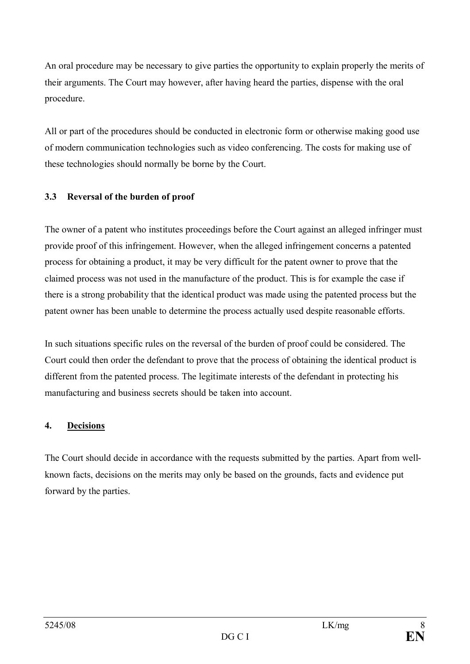An oral procedure may be necessary to give parties the opportunity to explain properly the merits of their arguments. The Court may however, after having heard the parties, dispense with the oral procedure.

All or part of the procedures should be conducted in electronic form or otherwise making good use of modern communication technologies such as video conferencing. The costs for making use of these technologies should normally be borne by the Court.

# **3.3 Reversal of the burden of proof**

The owner of a patent who institutes proceedings before the Court against an alleged infringer must provide proof of this infringement. However, when the alleged infringement concerns a patented process for obtaining a product, it may be very difficult for the patent owner to prove that the claimed process was not used in the manufacture of the product. This is for example the case if there is a strong probability that the identical product was made using the patented process but the patent owner has been unable to determine the process actually used despite reasonable efforts.

In such situations specific rules on the reversal of the burden of proof could be considered. The Court could then order the defendant to prove that the process of obtaining the identical product is different from the patented process. The legitimate interests of the defendant in protecting his manufacturing and business secrets should be taken into account.

# **4. Decisions**

The Court should decide in accordance with the requests submitted by the parties. Apart from wellknown facts, decisions on the merits may only be based on the grounds, facts and evidence put forward by the parties.